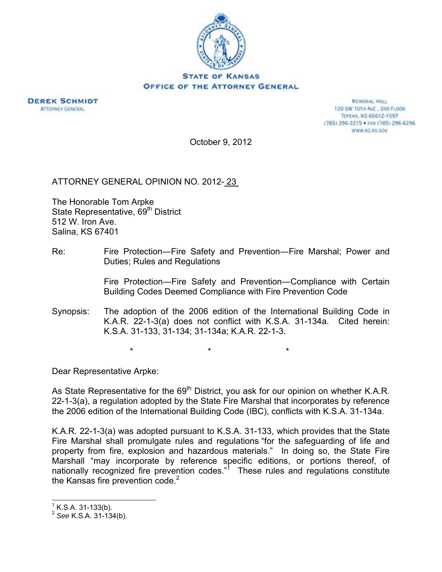



**MEMORIAL HALL** 120 SW 101H ALE., 2ND FLOOR TOPEXA, KS 66612-1597 (785) 296-2215 · FAX (785) 296-6296 WWW.AG.XS.GOV

October 9, 2012

ATTORNEY GENERAL OPINION NO. 2012- 23

The Honorable Tom Arpke State Representative, 69<sup>th</sup> District 512 W. Iron Ave. Salina, KS 67401

Re: Fire Protection—Fire Safety and Prevention—Fire Marshal; Power and Duties; Rules and Regulations

> Fire Protection―Fire Safety and Prevention―Compliance with Certain Building Codes Deemed Compliance with Fire Prevention Code

Synopsis: The adoption of the 2006 edition of the International Building Code in K.A.R. 22-1-3(a) does not conflict with K.S.A. 31-134a. Cited herein: K.S.A. 31-133, 31-134; 31-134a; K.A.R. 22-1-3.

\* \* \*

Dear Representative Arpke:

As State Representative for the 69<sup>th</sup> District, you ask for our opinion on whether K.A.R. 22-1-3(a), a regulation adopted by the State Fire Marshal that incorporates by reference the 2006 edition of the International Building Code (IBC), conflicts with K.S.A. 31-134a.

K.A.R. 22-1-3(a) was adopted pursuant to K.S.A. 31-133, which provides that the State Fire Marshal shall promulgate rules and regulations "for the safeguarding of life and property from fire, explosion and hazardous materials." In doing so, the State Fire Marshall "may incorporate by reference specific editions, or portions thereof, of nationally recognized fire prevention codes."<sup>1</sup> These rules and regulations constitute the Kansas fire prevention code. $2$ 

 $\overline{a}$ 

 $<sup>1</sup>$  K.S.A. 31-133(b).</sup>

<sup>2</sup> *See* K.S.A. 31-134(b).